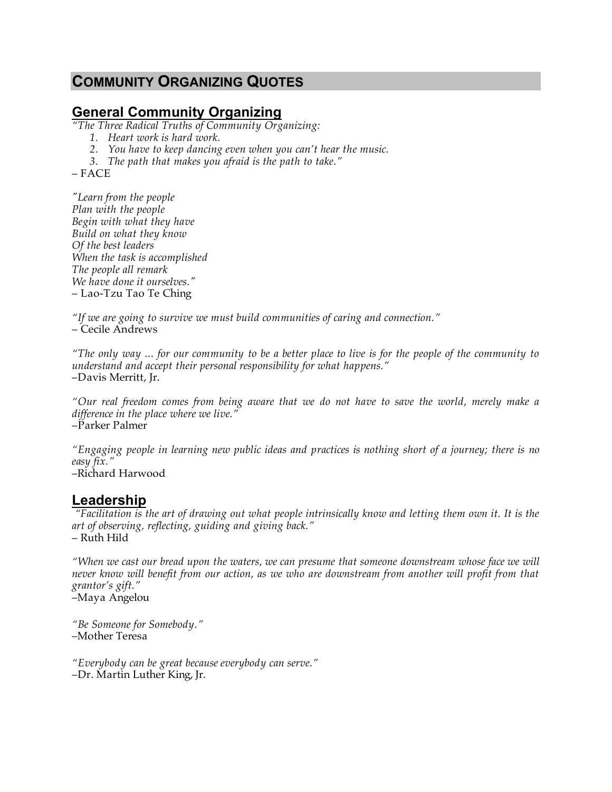# **COMMUNITY ORGANIZING QUOTES**

## **General Community Organizing**

*"The Three Radical Truths of Community Organizing:*

- *1. Heart work is hard work.*
- *2. You have to keep dancing even when you can't hear the music.*
- *3. The path that makes you afraid is the path to take."*

– FACE

*"Learn from the people Plan with the people Begin with what they have Build on what they know Of the best leaders When the task is accomplished The people all remark We have done it ourselves."* – Lao-Tzu Tao Te Ching

*"If we are going to survive we must build communities of caring and connection."* – Cecile Andrews

*"The only way ... for our community to be a better place to live is for the people of the community to understand and accept their personal responsibility for what happens."*  –Davis Merritt, Jr.

*"Our real freedom comes from being aware that we do not have to save the world, merely make a difference in the place where we live."*  –Parker Palmer

*"Engaging people in learning new public ideas and practices is nothing short of a journey; there is no easy fix."* 

–Richard Harwood

#### **Leadership**

 *"Facilitation is the art of drawing out what people intrinsically know and letting them own it. It is the art of observing, reflecting, guiding and giving back."*  – Ruth Hild

*"When we cast our bread upon the waters, we can presume that someone downstream whose face we will never know will benefit from our action, as we who are downstream from another will profit from that grantor's gift."*  –Maya Angelou

*"Be Someone for Somebody."*  –Mother Teresa

*"Everybody can be great because everybody can serve."*  –Dr. Martin Luther King, Jr.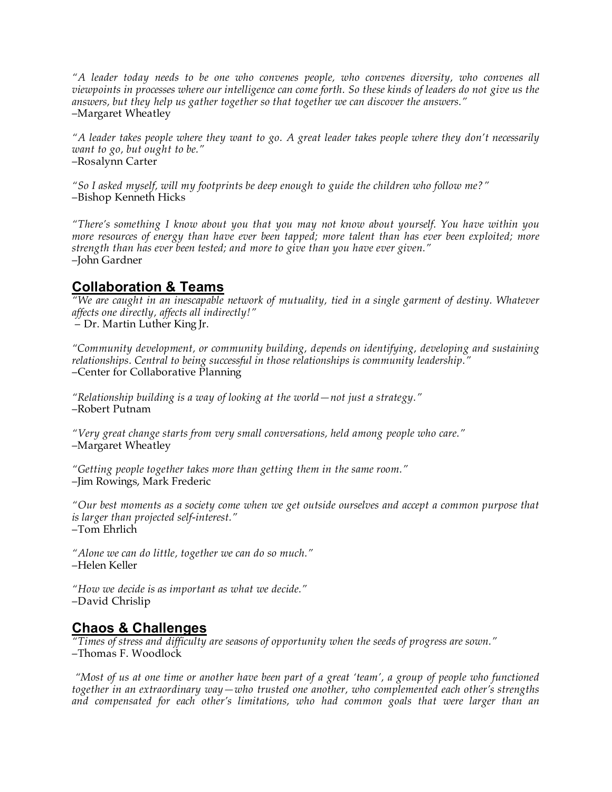*"A leader today needs to be one who convenes people, who convenes diversity, who convenes all viewpoints in processes where our intelligence can come forth. So these kinds of leaders do not give us the answers, but they help us gather together so that together we can discover the answers."* –Margaret Wheatley

*"A leader takes people where they want to go. A great leader takes people where they don't necessarily want to go, but ought to be."*  –Rosalynn Carter

*"So I asked myself, will my footprints be deep enough to guide the children who follow me?"* –Bishop Kenneth Hicks

*"There's something I know about you that you may not know about yourself. You have within you more resources of energy than have ever been tapped; more talent than has ever been exploited; more strength than has ever been tested; and more to give than you have ever given."*  –John Gardner

## **Collaboration & Teams**

*"We are caught in an inescapable network of mutuality, tied in a single garment of destiny. Whatever affects one directly, affects all indirectly!"* – Dr. Martin Luther King Jr.

*"Community development, or community building, depends on identifying, developing and sustaining relationships. Central to being successful in those relationships is community leadership."* –Center for Collaborative Planning

*"Relationship building is a way of looking at the world—not just a strategy."*  –Robert Putnam

*"Very great change starts from very small conversations, held among people who care."*  –Margaret Wheatley

*"Getting people together takes more than getting them in the same room."*  –Jim Rowings, Mark Frederic

*"Our best moments as a society come when we get outside ourselves and accept a common purpose that is larger than projected self-interest."*  –Tom Ehrlich

*"Alone we can do little, together we can do so much."*  –Helen Keller

*"How we decide is as important as what we decide."*  –David Chrislip

### **Chaos & Challenges**

*"Times of stress and difficulty are seasons of opportunity when the seeds of progress are sown."* –Thomas F. Woodlock

 *"Most of us at one time or another have been part of a great 'team', a group of people who functioned together in an extraordinary way—who trusted one another, who complemented each other's strengths and compensated for each other's limitations, who had common goals that were larger than an*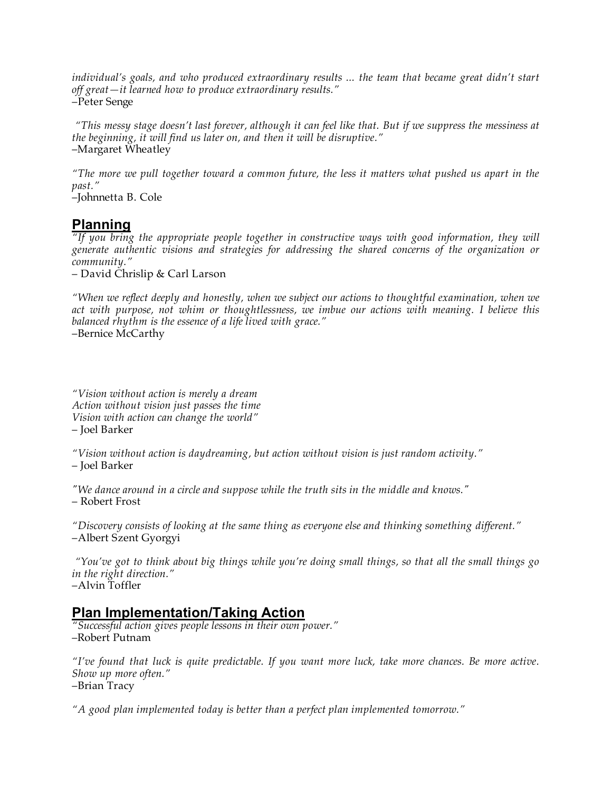*individual's goals, and who produced extraordinary results ... the team that became great didn't start off great—it learned how to produce extraordinary results."*  –Peter Senge

 *"This messy stage doesn't last forever, although it can feel like that. But if we suppress the messiness at the beginning, it will find us later on, and then it will be disruptive."*  –Margaret Wheatley

*"The more we pull together toward a common future, the less it matters what pushed us apart in the past."* 

–Johnnetta B. Cole

# **Planning**

*"If you bring the appropriate people together in constructive ways with good information, they will generate authentic visions and strategies for addressing the shared concerns of the organization or community."*

– David Chrislip & Carl Larson

*"When we reflect deeply and honestly, when we subject our actions to thoughtful examination, when we*  act with purpose, not whim or thoughtlessness, we imbue our actions with meaning. I believe this *balanced rhythm is the essence of a life lived with grace."* 

–Bernice McCarthy

*"Vision without action is merely a dream Action without vision just passes the time Vision with action can change the world"* – Joel Barker

*"Vision without action is daydreaming, but action without vision is just random activity."*  – Joel Barker

*"We dance around in a circle and suppose while the truth sits in the middle and knows."* – Robert Frost

*"Discovery consists of looking at the same thing as everyone else and thinking something different."* –Albert Szent Gyorgyi

 *"You've got to think about big things while you're doing small things, so that all the small things go in the right direction."*  –Alvin Toffler

## **Plan Implementation/Taking Action**

*"Successful action gives people lessons in their own power."*  –Robert Putnam

*"I've found that luck is quite predictable. If you want more luck, take more chances. Be more active. Show up more often."*  –Brian Tracy

*"A good plan implemented today is better than a perfect plan implemented tomorrow."*